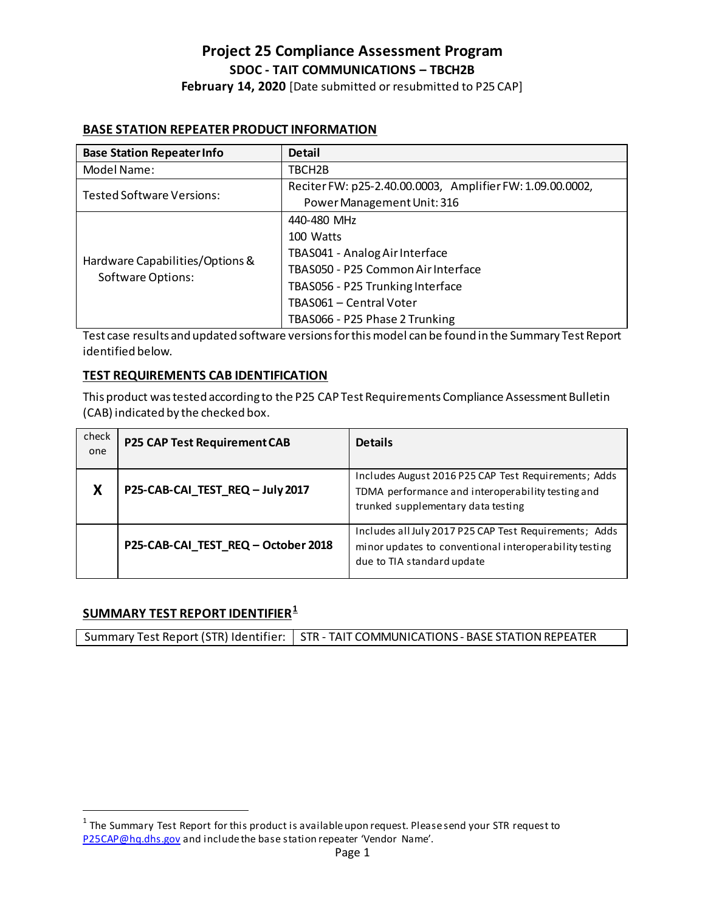### **Project 25 Compliance Assessment Program SDOC - TAIT COMMUNICATIONS – TBCH2B February 14, 2020** [Date submitted or resubmitted to P25 CAP]

# **BASE STATION REPEATER PRODUCT INFORMATION**

| <b>Base Station Repeater Info</b>                    | <b>Detail</b>                                             |
|------------------------------------------------------|-----------------------------------------------------------|
| Model Name:                                          | TBCH2B                                                    |
| Tested Software Versions:                            | Reciter FW: p25-2.40.00.0003, Amplifier FW: 1.09.00.0002, |
|                                                      | Power Management Unit: 316                                |
| Hardware Capabilities/Options &<br>Software Options: | 440-480 MHz                                               |
|                                                      | 100 Watts                                                 |
|                                                      | TBAS041 - Analog Air Interface                            |
|                                                      | TBAS050 - P25 Common Air Interface                        |
|                                                      | TBAS056 - P25 Trunking Interface                          |
|                                                      | TBAS061 - Central Voter                                   |
|                                                      | TBAS066 - P25 Phase 2 Trunking                            |

Test case results and updated software versions for this model can be found in the Summary Test Report identified below.

### **TEST REQUIREMENTS CAB IDENTIFICATION**

This product was tested according to the P25 CAP Test Requirements Compliance Assessment Bulletin (CAB) indicated by the checked box.

| check<br>one | P25 CAP Test Requirement CAB        | <b>Details</b>                                                                                                                                  |
|--------------|-------------------------------------|-------------------------------------------------------------------------------------------------------------------------------------------------|
|              | P25-CAB-CAI_TEST_REQ - July 2017    | Includes August 2016 P25 CAP Test Requirements; Adds<br>TDMA performance and interoperability testing and<br>trunked supplementary data testing |
|              | P25-CAB-CAI_TEST_REQ - October 2018 | Includes all July 2017 P25 CAP Test Requirements; Adds<br>minor updates to conventional interoperability testing<br>due to TIA standard update  |

### **SUMMARY TEST REPORT IDENTIFIER[1](#page-0-0)**

Summary Test Report (STR) Identifier: | STR - TAIT COMMUNICATIONS - BASE STATION REPEATER

<span id="page-0-0"></span> $1$  The Summary Test Report for this product is available upon request. Please send your STR request to [P25CAP@hq.dhs.gov](mailto:P25CAP@hq.dhs.gov) and include the base station repeater 'Vendor Name'.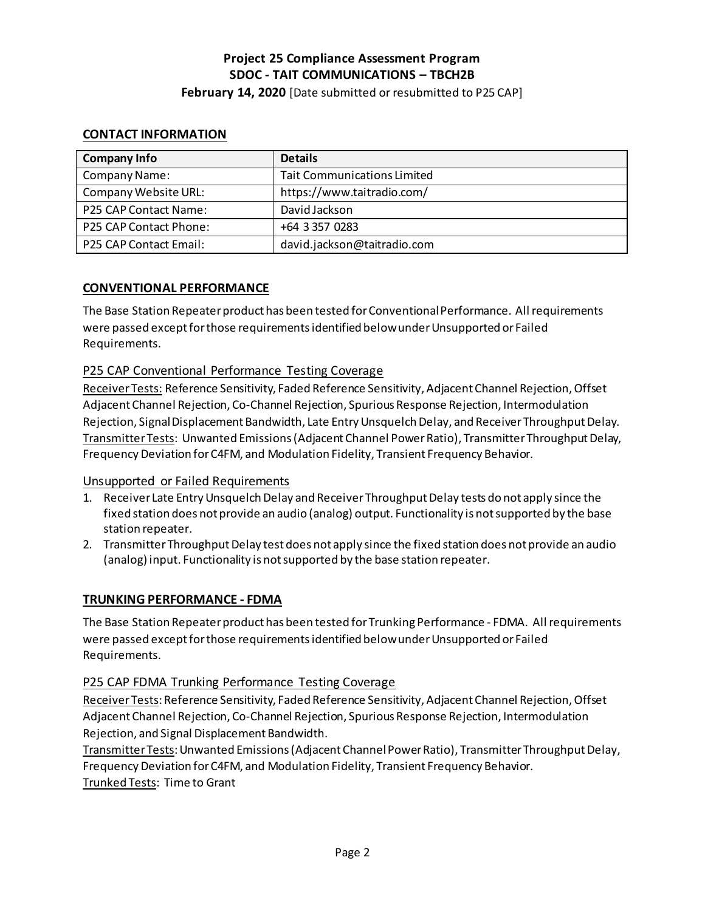**February 14, 2020** [Date submitted or resubmitted to P25 CAP]

### **CONTACT INFORMATION**

| <b>Company Info</b>           | <b>Details</b>                     |
|-------------------------------|------------------------------------|
| Company Name:                 | <b>Tait Communications Limited</b> |
| Company Website URL:          | https://www.taitradio.com/         |
| P25 CAP Contact Name:         | David Jackson                      |
| <b>P25 CAP Contact Phone:</b> | +64 3 357 0283                     |
| P25 CAP Contact Email:        | david.jackson@taitradio.com        |

### **CONVENTIONAL PERFORMANCE**

The Base Station Repeater product has been tested for Conventional Performance. All requirements were passed except for those requirementsidentified below under Unsupported or Failed Requirements.

### P25 CAP Conventional Performance Testing Coverage

Receiver Tests: Reference Sensitivity, Faded Reference Sensitivity, Adjacent Channel Rejection, Offset Adjacent Channel Rejection, Co-Channel Rejection, Spurious Response Rejection, Intermodulation Rejection, Signal Displacement Bandwidth, Late Entry Unsquelch Delay, and Receiver Throughput Delay. Transmitter Tests: Unwanted Emissions (Adjacent Channel Power Ratio), Transmitter Throughput Delay, Frequency Deviation for C4FM, and Modulation Fidelity, Transient Frequency Behavior.

### Unsupported or Failed Requirements

- 1. Receiver Late Entry Unsquelch Delay and Receiver Throughput Delay tests do not apply since the fixed station does not provide an audio (analog) output. Functionality is not supported by the base station repeater.
- 2. Transmitter Throughput Delay test does not apply since the fixed station does not provide an audio (analog) input. Functionality is not supported by the base station repeater.

### **TRUNKING PERFORMANCE - FDMA**

The Base Station Repeater product has been tested for Trunking Performance - FDMA. All requirements were passed except for those requirementsidentified below under Unsupported or Failed Requirements.

### P25 CAP FDMA Trunking Performance Testing Coverage

Receiver Tests: Reference Sensitivity, Faded Reference Sensitivity, Adjacent Channel Rejection, Offset Adjacent Channel Rejection, Co-Channel Rejection, Spurious Response Rejection, Intermodulation Rejection, and Signal Displacement Bandwidth.

Transmitter Tests: Unwanted Emissions (Adjacent Channel Power Ratio), Transmitter Throughput Delay, Frequency Deviation for C4FM, and Modulation Fidelity, Transient Frequency Behavior. Trunked Tests: Time to Grant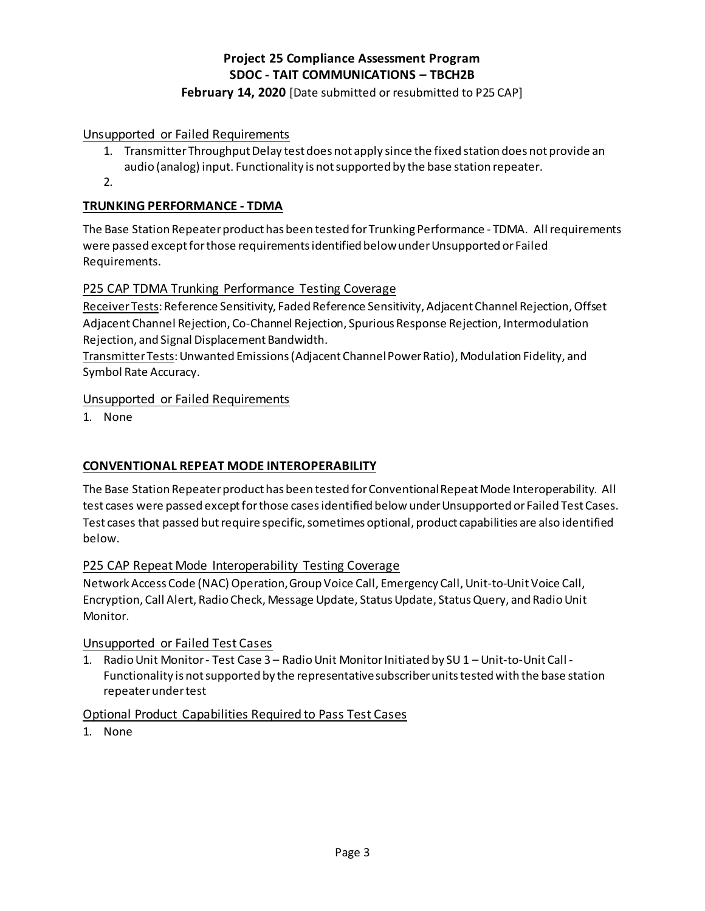### **February 14, 2020** [Date submitted or resubmitted to P25 CAP]

Unsupported or Failed Requirements

- 1. Transmitter Throughput Delay test does not apply since the fixed station does not provide an audio (analog) input. Functionality is not supported by the base station repeater.
- 2.

### **TRUNKING PERFORMANCE - TDMA**

The Base Station Repeater product has been tested for Trunking Performance - TDMA. All requirements were passed except for those requirementsidentified below under Unsupported or Failed Requirements.

### P25 CAP TDMA Trunking Performance Testing Coverage

Receiver Tests: Reference Sensitivity, Faded Reference Sensitivity, Adjacent Channel Rejection, Offset Adjacent Channel Rejection, Co-Channel Rejection, Spurious Response Rejection, Intermodulation Rejection, and Signal Displacement Bandwidth.

Transmitter Tests: Unwanted Emissions (Adjacent Channel Power Ratio), Modulation Fidelity, and Symbol Rate Accuracy.

### Unsupported or Failed Requirements

1. None

### **CONVENTIONAL REPEAT MODE INTEROPERABILITY**

The Base Station Repeater product has been tested for Conventional Repeat Mode Interoperability. All test cases were passed except for those casesidentified below under Unsupported or Failed Test Cases. Test cases that passed but require specific, sometimes optional, product capabilities are also identified below.

### P25 CAP Repeat Mode Interoperability Testing Coverage

Network Access Code (NAC) Operation, Group Voice Call, Emergency Call, Unit-to-Unit Voice Call, Encryption, Call Alert, Radio Check, Message Update, Status Update, Status Query, and Radio Unit Monitor.

### Unsupported or Failed Test Cases

1. Radio Unit Monitor - Test Case 3 – Radio Unit Monitor Initiated by SU 1 – Unit-to-Unit Call - Functionality is not supported by the representative subscriber units tested with the base station repeater under test

### Optional Product Capabilities Required to Pass Test Cases

1. None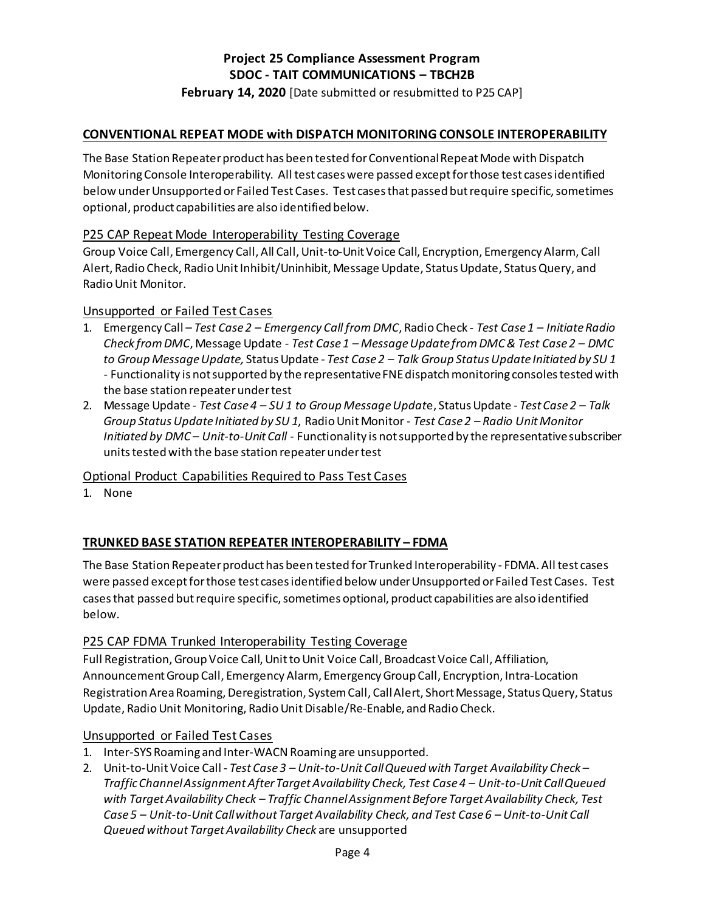### **February 14, 2020** [Date submitted or resubmitted to P25 CAP]

### **CONVENTIONAL REPEAT MODE with DISPATCH MONITORING CONSOLE INTEROPERABILITY**

The Base Station Repeater product has been tested for Conventional Repeat Mode with Dispatch Monitoring Console Interoperability. All test cases were passed except for those test casesidentified below under Unsupported or Failed Test Cases. Test cases that passed but require specific, sometimes optional, product capabilities are also identified below.

### P25 CAP Repeat Mode Interoperability Testing Coverage

Group Voice Call, Emergency Call, All Call, Unit-to-UnitVoice Call, Encryption, Emergency Alarm, Call Alert, Radio Check, Radio Unit Inhibit/Uninhibit, Message Update, Status Update, Status Query, and Radio Unit Monitor.

### Unsupported or Failed Test Cases

- 1. Emergency Call *Test Case 2 Emergency Call from DMC*, Radio Check  *Test Case 1 Initiate Radio Check from DMC*, Message Update - *Test Case 1 – Message Update from DMC & Test Case 2 – DMC to Group Message Update,* Status Update - *Test Case 2 – Talk Group Status Update Initiated by SU 1* - Functionality is not supported by the representative FNE dispatch monitoring consoles tested with the base station repeater under test
- 2. Message Update *Test Case 4 SU 1 to Group Message Updat*e, Status Update *Test Case 2 Talk Group Status Update Initiated by SU 1*, Radio Unit Monitor - *Test Case 2 – Radio Unit Monitor Initiated by DMC – Unit-to-Unit Call* - Functionality is not supported by the representative subscriber units tested with the base station repeater under test

Optional Product Capabilities Required to Pass Test Cases

1. None

### **TRUNKED BASE STATION REPEATER INTEROPERABILITY – FDMA**

The Base Station Repeater product has been tested for Trunked Interoperability - FDMA. All test cases were passed except for those test casesidentified below under Unsupported or Failed Test Cases. Test cases that passed but require specific, sometimes optional, product capabilities are also identified below.

### P25 CAP FDMA Trunked Interoperability Testing Coverage

Full Registration, Group Voice Call, Unit to Unit Voice Call, Broadcast Voice Call, Affiliation, Announcement Group Call, Emergency Alarm, Emergency Group Call, Encryption, Intra-Location Registration Area Roaming, Deregistration, System Call, Call Alert, Short Message, Status Query, Status Update, Radio Unit Monitoring, Radio Unit Disable/Re-Enable, and Radio Check.

### Unsupported or Failed Test Cases

- 1. Inter-SYS Roaming and Inter-WACN Roaming are unsupported.
- 2. Unit-to-Unit Voice Call *Test Case 3 Unit-to-Unit Call Queued with Target Availability Check Traffic Channel Assignment After Target Availability Check, Test Case 4 – Unit-to-Unit Call Queued with Target Availability Check – Traffic Channel Assignment Before Target Availability Check, Test Case 5 – Unit-to-Unit Call without Target Availability Check, and Test Case 6 – Unit-to-Unit Call Queued without Target Availability Check* are unsupported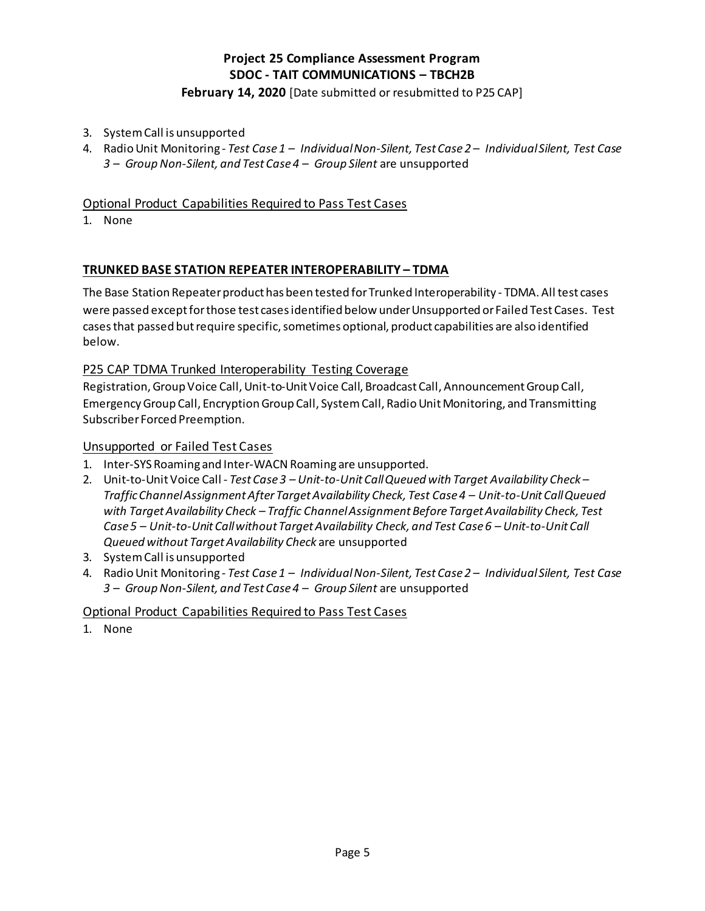**February 14, 2020** [Date submitted or resubmitted to P25 CAP]

- 3. System Call is unsupported
- 4. Radio Unit Monitoring *Test Case 1 Individual Non-Silent, Test Case 2 Individual Silent, Test Case 3 – Group Non-Silent, and Test Case 4 – Group Silent* are unsupported

### Optional Product Capabilities Required to Pass Test Cases

1. None

### **TRUNKED BASE STATION REPEATER INTEROPERABILITY – TDMA**

The Base Station Repeater product has been tested for Trunked Interoperability - TDMA. All test cases were passed except for those test casesidentified below under Unsupported or Failed Test Cases. Test cases that passed but require specific, sometimes optional, product capabilities are also identified below.

### P25 CAP TDMA Trunked Interoperability Testing Coverage

Registration, GroupVoice Call, Unit-to-Unit Voice Call, Broadcast Call, Announcement Group Call, Emergency Group Call, Encryption Group Call, System Call, Radio Unit Monitoring, and Transmitting Subscriber Forced Preemption.

### Unsupported or Failed Test Cases

- 1. Inter-SYS Roaming and Inter-WACN Roaming are unsupported.
- 2. Unit-to-Unit Voice Call *Test Case 3 Unit-to-Unit Call Queued with Target Availability Check Traffic Channel Assignment After Target Availability Check, Test Case 4 – Unit-to-Unit Call Queued with TargetAvailability Check – Traffic Channel Assignment Before Target Availability Check, Test Case 5 – Unit-to-Unit Call without Target Availability Check, and Test Case 6 – Unit-to-Unit Call Queued without Target Availability Check* are unsupported
- 3. System Call is unsupported
- 4. Radio Unit Monitoring *Test Case 1 Individual Non-Silent, Test Case 2 Individual Silent, Test Case 3 – Group Non-Silent, and Test Case 4 – Group Silent* are unsupported

### Optional Product Capabilities Required to Pass Test Cases

1. None